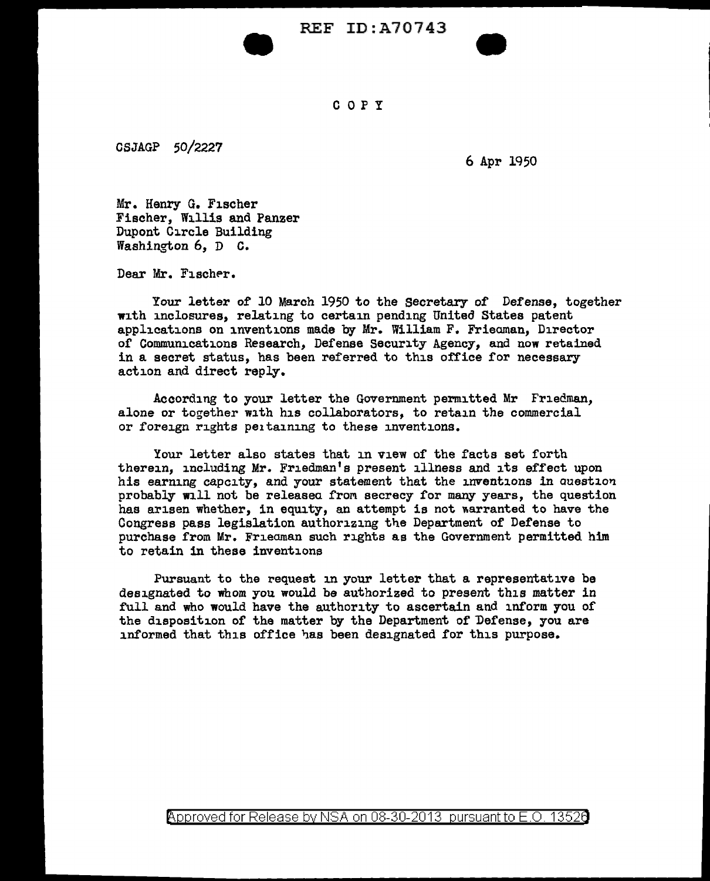REF ID:A70743



## c 0 p y

CSJAGP 50/2227

6 Apr 1950

Mr. Henry G. Fischer Fischer, Willis and Panzer Dupont Circle Building Washington 6, D c.

•<br>•

Dear Mr. Fischer.

Your letter of 10 March 1950 to the secretary of Defense, together with inclosures, relating to certain pending United States patent applications on inventions made by Mr. William F. Frieaman, Director of Communications Research, Defense Security Agency, and now retained in a secret status, has been referred to this office for necessary action and direct reply.

According to your letter the Government permitted Mr Friedman, alone or together with his collaborators, to retain the commercial or foreign rights pe1ta1n1ng to these inventions.

Your letter also states that in view of the facts set forth therein, including Mr. Friedman's present illness and its effect upon his earning capcity, and your statement that the inventions in question probably will not be released from secrecy for many years, the question has arisen whether, in equity, an attempt is not warranted to have the Congress pass legislation authorizing tne Department of Defense to purchase from Mr. Frieaman such rights as the Government permitted him to retain in these inventions

Pursuant to the request in your letter that a representative be designated to whom you would be authorized to present this matter in full and who would have the authority to ascertain and inform you of the disposition of the matter by the Department of Defense, you are informed that this office has been designated for this purpose.

Approved for Release by NSA on 08-30-2013 pursuant to E.O. 13520